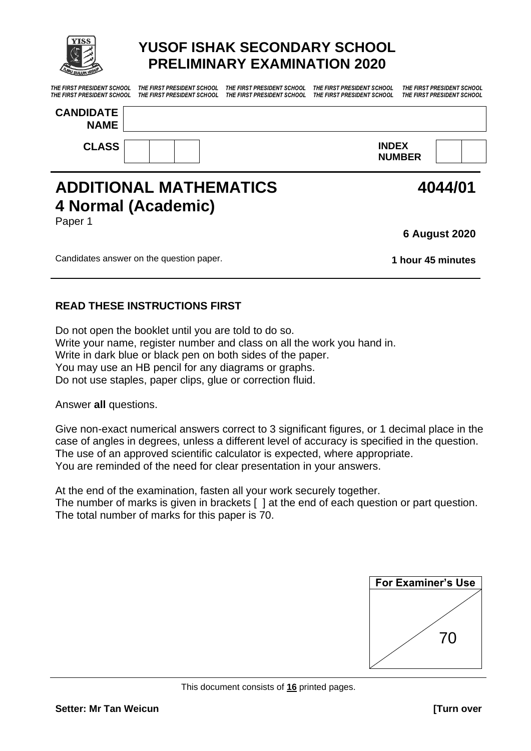

# **YUSOF ISHAK SECONDARY SCHOOL PRELIMINARY EXAMINATION 2020**

*THE FIRST PRESIDENT SCHOOL THE FIRST PRESIDENT SCHOOL THE FIRST PRESIDENT SCHOOL THE FIRST PRESIDENT SCHOOL THE FIRST PRESIDENT SCHOOL* 

*THE FIRST PRESIDENT SCHOOL THE FIRST PRESIDENT SCHOOL THE FIRST PRESIDENT SCHOOL THE FIRST PRESIDENT SCHOOL THE FIRST PRESIDENT SCHOOL* 

| <b>CANDIDATE</b><br><b>NAME</b> |                               |  |
|---------------------------------|-------------------------------|--|
| <b>CLASS</b>                    | <b>INDEX</b><br><b>NUMBER</b> |  |

# **ADDITIONAL MATHEMATICS 4 Normal (Academic)** Paper 1

**6 August 2020**

**4044/01**

Candidates answer on the question paper. **1 hour 45 minutes**

## **READ THESE INSTRUCTIONS FIRST**

Do not open the booklet until you are told to do so. Write your name, register number and class on all the work you hand in. Write in dark blue or black pen on both sides of the paper. You may use an HB pencil for any diagrams or graphs. Do not use staples, paper clips, glue or correction fluid.

Answer **all** questions.

Give non-exact numerical answers correct to 3 significant figures, or 1 decimal place in the case of angles in degrees, unless a different level of accuracy is specified in the question. The use of an approved scientific calculator is expected, where appropriate. You are reminded of the need for clear presentation in your answers.

At the end of the examination, fasten all your work securely together. The number of marks is given in brackets [ ] at the end of each question or part question. The total number of marks for this paper is 70.

| <b>For Examiner's Use</b> |
|---------------------------|
|                           |
|                           |
|                           |
| 70                        |
|                           |
|                           |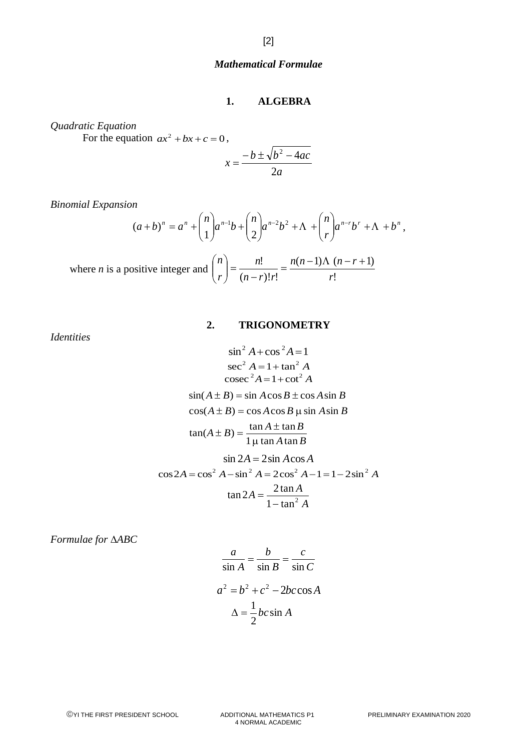### *Mathematical Formulae*

#### **1. ALGEBRA**

*Quadratic Equation*

For the equation  $ax^2 + bx + c = 0$ ,

$$
x = \frac{-b \pm \sqrt{b^2 - 4ac}}{2a}
$$

*Binomial Expansion*

$$
(a+b)^n = a^n + {n \choose 1} a^{n-1}b + {n \choose 2} a^{n-2}b^2 + \Lambda + {n \choose r} a^{n-r}b^r + \Lambda + b^n,
$$

where *n* is a positive integer and 
$$
\binom{n}{r} = \frac{n!}{(n-r)!r!} = \frac{n(n-1)\Lambda(n-r+1)}{r!}
$$

### **2. TRIGONOMETRY**

*Identities*

$$
\sin^2 A + \cos^2 A = 1
$$
  
\n
$$
\sec^2 A = 1 + \tan^2 A
$$
  
\n
$$
\csc^2 A = 1 + \cot^2 A
$$
  
\n
$$
\sin(A \pm B) = \sin A \cos B \pm \cos A \sin B
$$
  
\n
$$
\cos(A \pm B) = \cos A \cos B \mu \sin A \sin B
$$
  
\n
$$
\tan(A \pm B) = \frac{\tan A \pm \tan B}{1 \mu \tan A \tan B}
$$
  
\n
$$
\sin 2A = 2 \sin A \cos A
$$
  
\n
$$
\cos 2A = \cos^2 A - \sin^2 A = 2 \cos^2 A - 1 = 1 - 2 \sin^2 A
$$
  
\n
$$
\tan 2A = \frac{2 \tan A}{1 - \tan^2 A}
$$

*Formulae for ABC*

$$
\frac{a}{\sin A} = \frac{b}{\sin B} = \frac{c}{\sin C}
$$

$$
a^2 = b^2 + c^2 - 2bc \cos A
$$

$$
\Delta = \frac{1}{2}bc \sin A
$$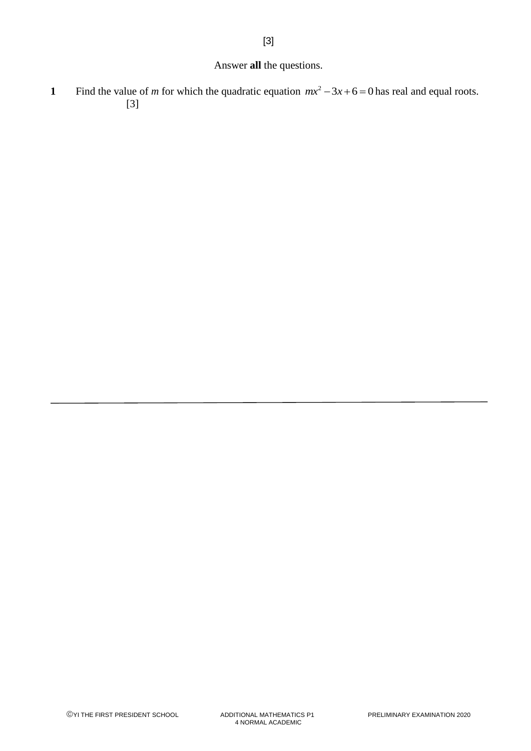## Answer **all** the questions.

[3]

**1** Find the value of *m* for which the quadratic equation  $mx^2 - 3x + 6 = 0$  has real and equal roots. [3]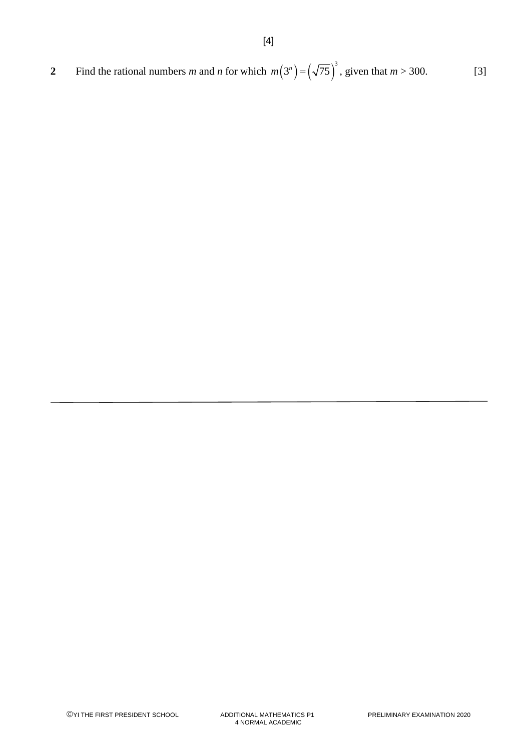2 Find the rational numbers *m* and *n* for which 
$$
m(3^n) = (\sqrt{75})^3
$$
, given that  $m > 300$ . [3]

[4]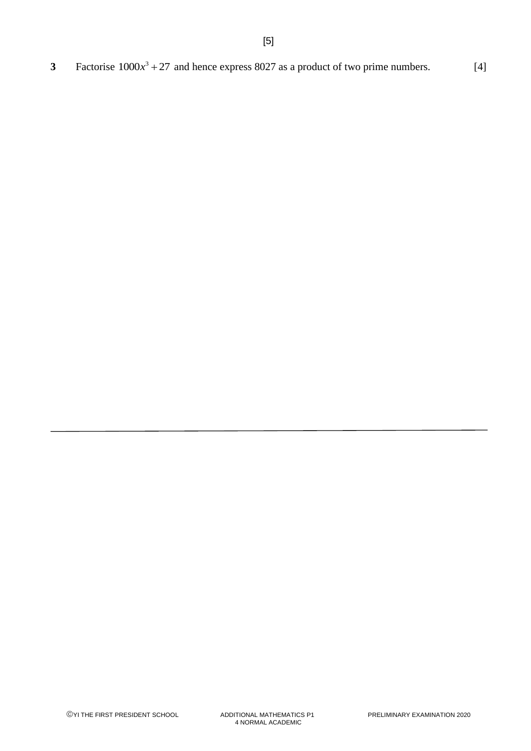3 Factorise  $1000x^3 + 27$  and hence express 8027 as a product of two prime numbers. [4]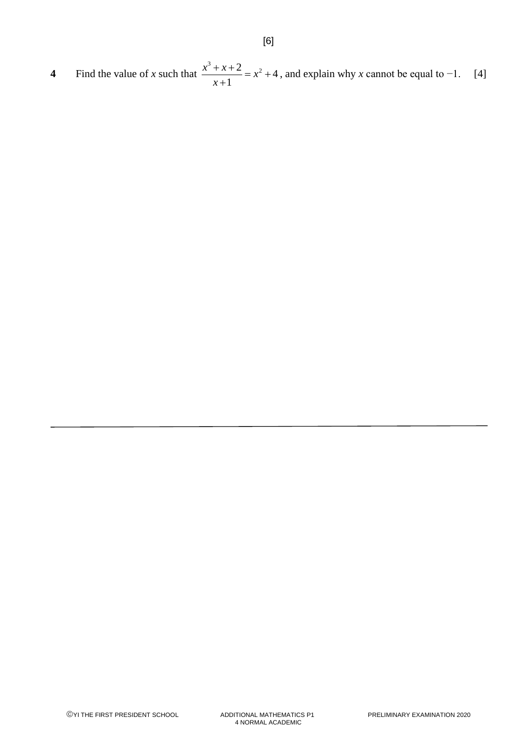**4** Find the value of *x* such that  $\frac{x^3 + x + 2}{x^2} = x^2 + 4$ 1  $\frac{x^3 + x + 2}{x^4} = x$ *x*  $\frac{x+2}{1} = x^2 + 4$ + , and explain why *x* cannot be equal to −1. [4]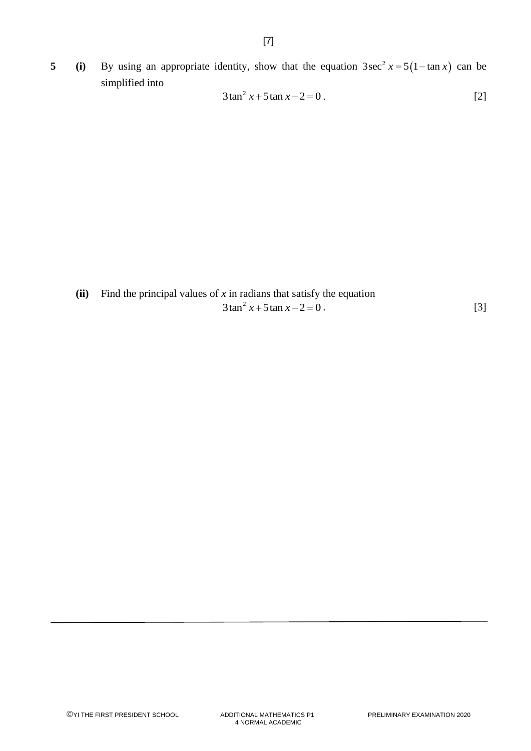**5 (i)** By using an appropriate identity, show that the equation  $3\sec^2 x = 5(1 - \tan x)$  can be simplified into

$$
3\tan^2 x + 5\tan x - 2 = 0.
$$
 [2]

**(ii)** Find the principal values of *x* in radians that satisfy the equation  $3\tan^2 x + 5\tan x - 2 = 0$ . [3]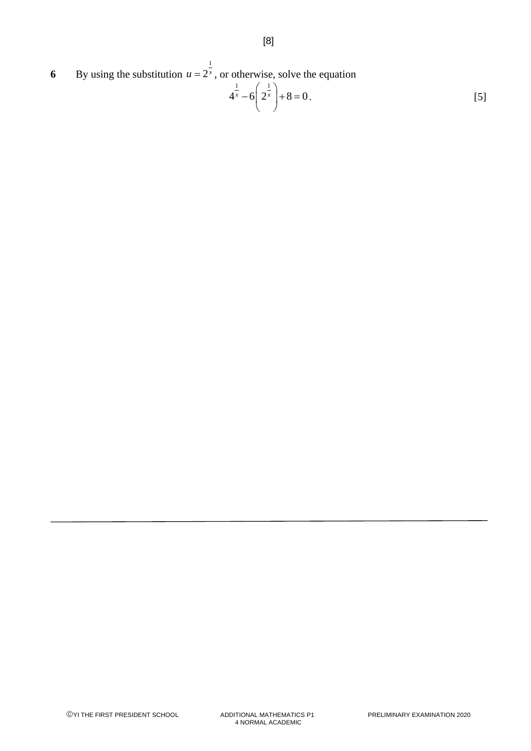**6** By using the substitution 1  $u = 2^x$ , or otherwise, solve the equation

$$
4^{\frac{1}{x}} - 6\left(2^{\frac{1}{x}}\right) + 8 = 0.
$$
 [5]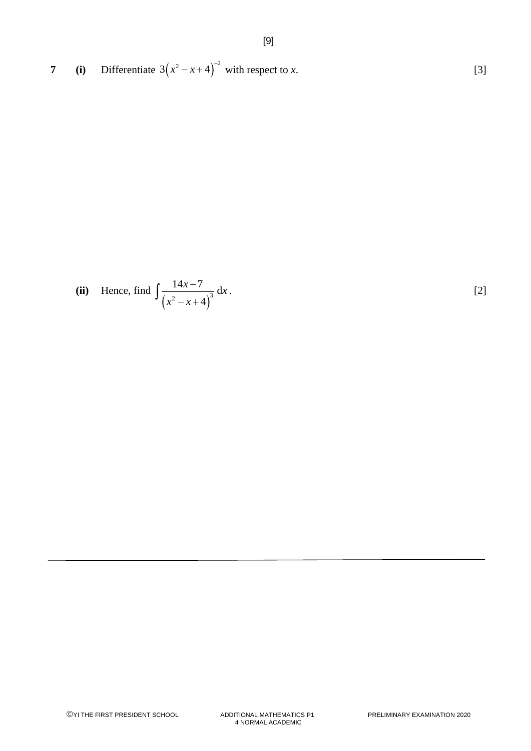**7 (i)** Differentiate  $3(x^2 - x + 4)^{-2}$  with respect to *x*. [3]

(ii) Hence, find 
$$
\int \frac{14x-7}{(x^2-x+4)^3} dx
$$
. [2]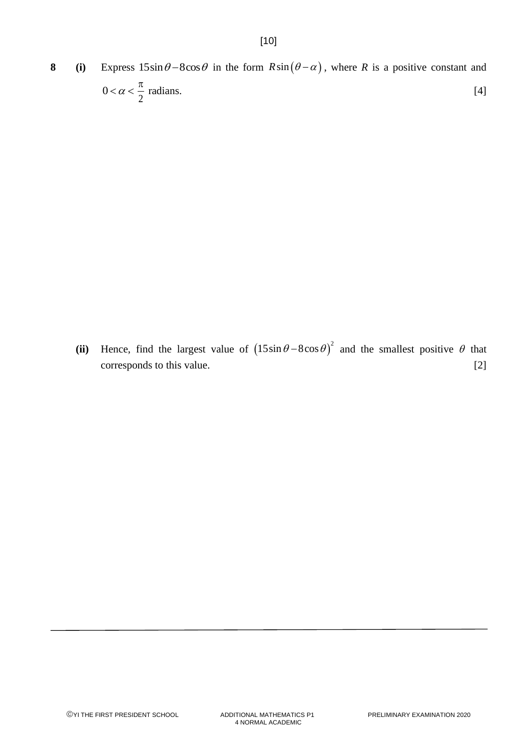[10]

(ii) Hence, find the largest value of  $(15\sin\theta - 8\cos\theta)^2$  and the smallest positive  $\theta$  that corresponds to this value. [2]

2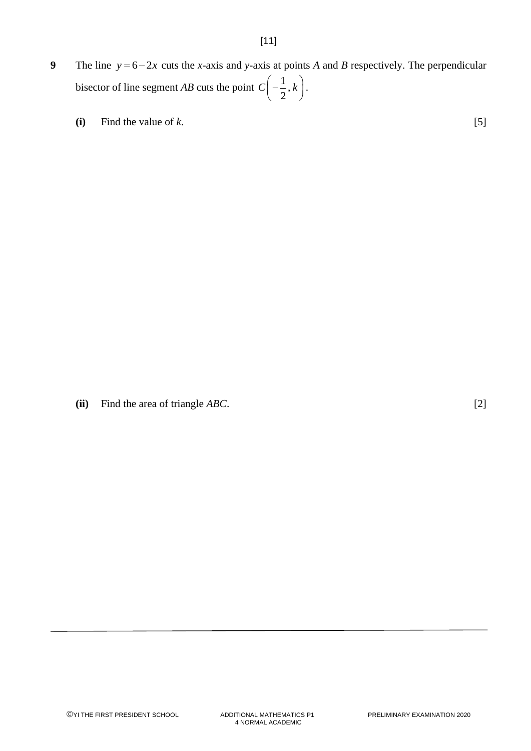- **9** The line  $y = 6-2x$  cuts the *x*-axis and *y*-axis at points *A* and *B* respectively. The perpendicular bisector of line segment *AB* cuts the point  $C\left(-\frac{1}{2},\right)$  $C\left(-\frac{1}{2},k\right)$ . .
	- **(i)** Find the value of  $k$ . [5]

**(ii)** Find the area of triangle *ABC*. [2]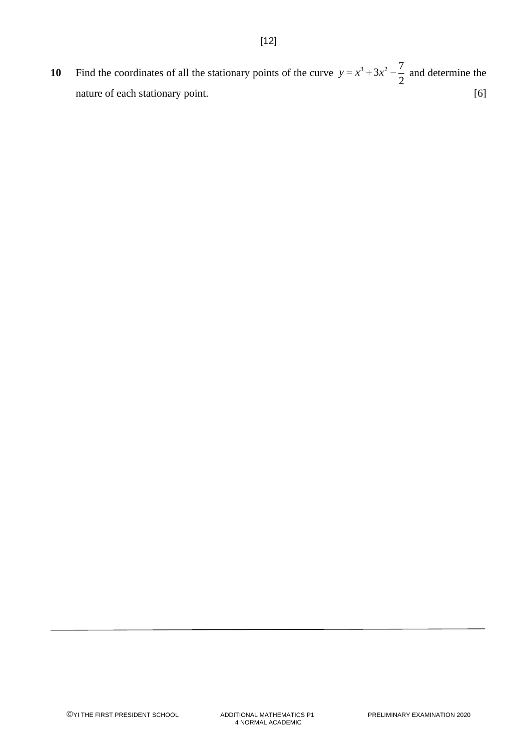**10** Find the coordinates of all the stationary points of the curve  $y = x^3 + 3x^2 - \frac{7}{2}$ 2  $y = x^3 + 3x^2 - \frac{7}{2}$  and determine the nature of each stationary point. [6]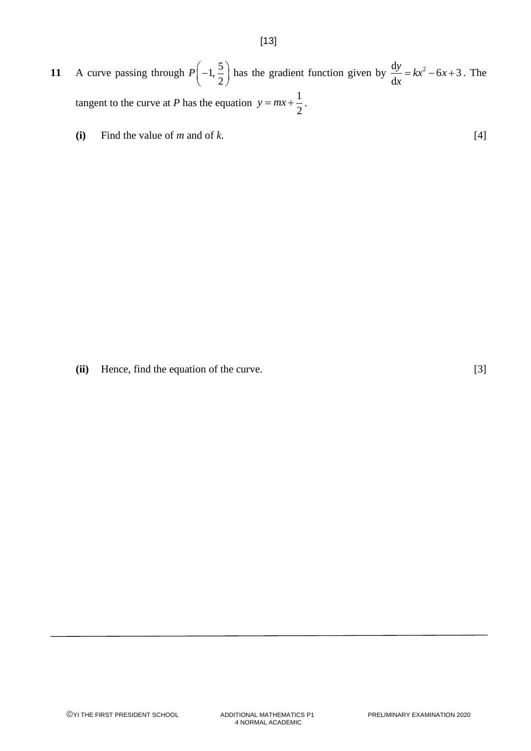- **11** A curve passing through  $P\left(-1, \frac{5}{2}\right)$  $\left(-1,\frac{5}{2}\right)$ has the gradient function given by  $\frac{dy}{dx} = kx^2 - 6x + 3$ d  $\frac{y}{x} = kx^2 - 6x$ *x*  $= kx^2 - 6x + 3$ . The tangent to the curve at *P* has the equation  $y = mx + \frac{1}{2}$ 2  $y = mx + \frac{1}{2}$ .
	- **(i)** Find the value of *m* and of *k*. [4]

**(ii)** Hence, find the equation of the curve. [3]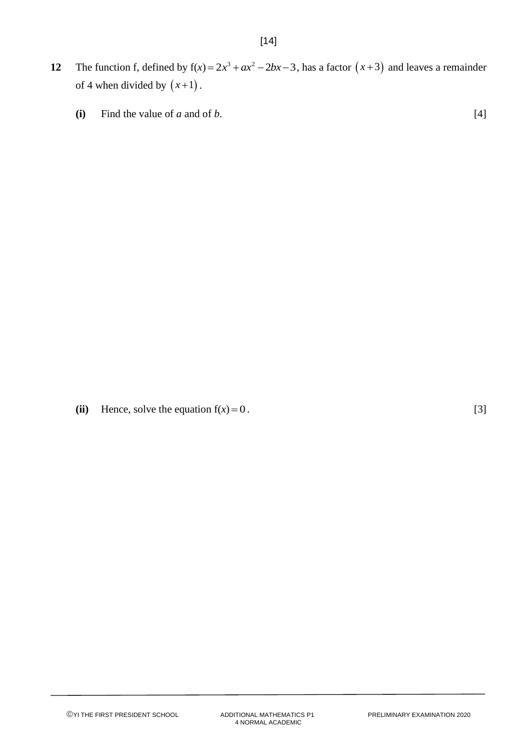- **12** The function f, defined by  $f(x) = 2x^3 + ax^2 2bx 3$ , has a factor  $(x+3)$  and leaves a remainder of 4 when divided by  $(x+1)$ .
	- **(i)** Find the value of *a* and of *b*.  $[4]$

(ii) Hence, solve the equation  $f(x) = 0$ .  $= 0$ . [3]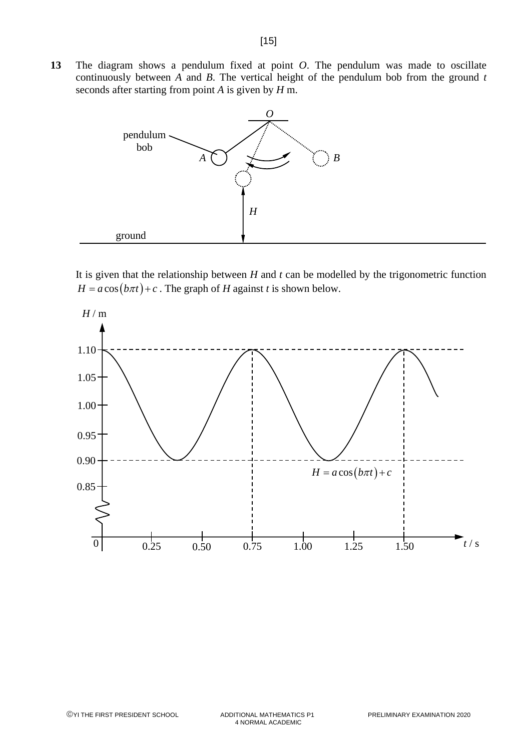**13** The diagram shows a pendulum fixed at point *O*. The pendulum was made to oscillate continuously between *A* and *B*. The vertical height of the pendulum bob from the ground *t* seconds after starting from point *A* is given by *H* m.



It is given that the relationship between *H* and *t* can be modelled by the trigonometric function  $H = a \cos(b\pi t) + c$ . The graph of *H* against *t* is shown below.